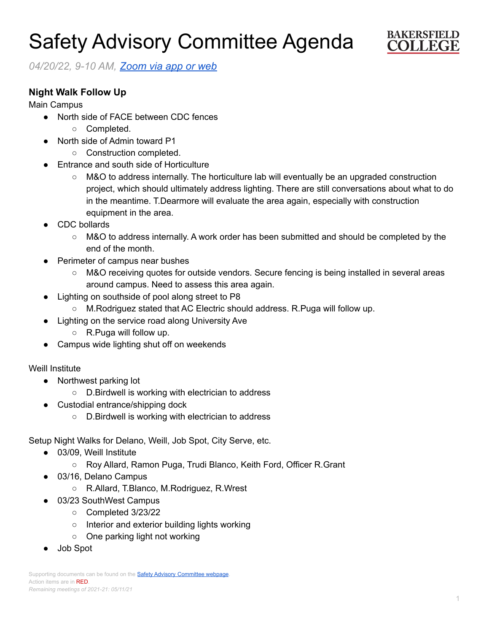# Safety Advisory Committee Agenda



*04/20/22, 9-10 AM, [Zoom](https://cccconfer.zoom.us/j/95588517472?pwd=OTV2dmFlMHN3dWkxRndrem1YL2dQQT09) via app or web*

## **Night Walk Follow Up**

Main Campus

- North side of FACE between CDC fences
	- Completed.
- North side of Admin toward P1
	- Construction completed.
- **Entrance and south side of Horticulture** 
	- M&O to address internally. The horticulture lab will eventually be an upgraded construction project, which should ultimately address lighting. There are still conversations about what to do in the meantime. T.Dearmore will evaluate the area again, especially with construction equipment in the area.
- CDC bollards
	- M&O to address internally. A work order has been submitted and should be completed by the end of the month.
- **Perimeter of campus near bushes** 
	- M&O receiving quotes for outside vendors. Secure fencing is being installed in several areas around campus. Need to assess this area again.
- Lighting on southside of pool along street to P8
	- M.Rodriguez stated that AC Electric should address. R.Puga will follow up.
- Lighting on the service road along University Ave
	- R.Puga will follow up.
- Campus wide lighting shut off on weekends

### Weill Institute

- Northwest parking lot
	- D.Birdwell is working with electrician to address
- Custodial entrance/shipping dock
	- D.Birdwell is working with electrician to address

Setup Night Walks for Delano, Weill, Job Spot, City Serve, etc.

- 03/09, Weill Institute
	- Roy Allard, Ramon Puga, Trudi Blanco, Keith Ford, Officer R.Grant
- 03/16, Delano Campus
	- R.Allard, T.Blanco, M.Rodriguez, R.Wrest
- 03/23 SouthWest Campus
	- Completed 3/23/22
	- Interior and exterior building lights working
	- One parking light not working
- Job Spot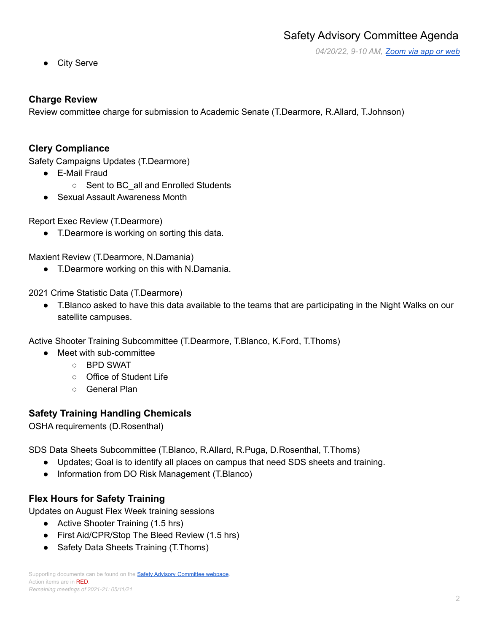*04/20/22, 9-10 AM, [Zoom](https://cccconfer.zoom.us/j/95588517472?pwd=OTV2dmFlMHN3dWkxRndrem1YL2dQQT09) via app or web*

● City Serve

## **Charge Review**

Review committee charge for submission to Academic Senate (T.Dearmore, R.Allard, T.Johnson)

## **Clery Compliance**

Safety Campaigns Updates (T.Dearmore)

- E-Mail Fraud
	- Sent to BC\_all and Enrolled Students
- Sexual Assault Awareness Month

Report Exec Review (T.Dearmore)

● T.Dearmore is working on sorting this data.

Maxient Review (T.Dearmore, N.Damania)

● T.Dearmore working on this with N.Damania.

2021 Crime Statistic Data (T.Dearmore)

● T.Blanco asked to have this data available to the teams that are participating in the Night Walks on our satellite campuses.

Active Shooter Training Subcommittee (T.Dearmore, T.Blanco, K.Ford, T.Thoms)

- Meet with sub-committee
	- BPD SWAT
	- Office of Student Life
	- General Plan

# **Safety Training Handling Chemicals**

OSHA requirements (D.Rosenthal)

SDS Data Sheets Subcommittee (T.Blanco, R.Allard, R.Puga, D.Rosenthal, T.Thoms)

- Updates; Goal is to identify all places on campus that need SDS sheets and training.
- Information from DO Risk Management (T.Blanco)

# **Flex Hours for Safety Training**

Updates on August Flex Week training sessions

- Active Shooter Training (1.5 hrs)
- First Aid/CPR/Stop The Bleed Review (1.5 hrs)
- Safety Data Sheets Training (T.Thoms)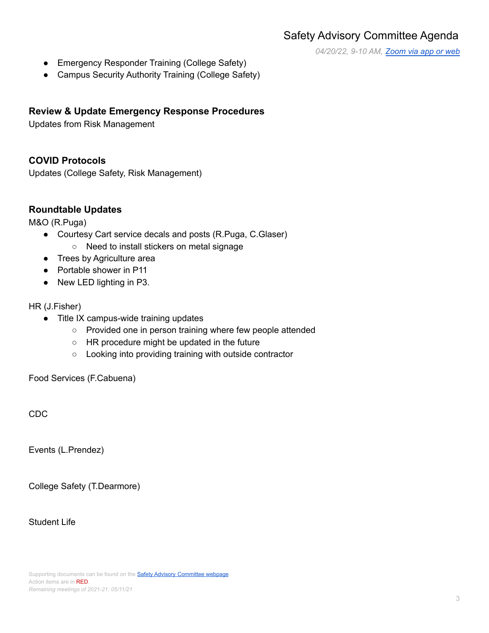*04/20/22, 9-10 AM, [Zoom](https://cccconfer.zoom.us/j/95588517472?pwd=OTV2dmFlMHN3dWkxRndrem1YL2dQQT09) via app or web*

- Emergency Responder Training (College Safety)
- Campus Security Authority Training (College Safety)

#### **Review & Update Emergency Response Procedures**

Updates from Risk Management

#### **COVID Protocols**

Updates (College Safety, Risk Management)

#### **Roundtable Updates**

M&O (R.Puga)

- Courtesy Cart service decals and posts (R.Puga, C.Glaser)
	- Need to install stickers on metal signage
- Trees by Agriculture area
- Portable shower in P11
- New LED lighting in P3.

#### HR (J.Fisher)

- Title IX campus-wide training updates
	- Provided one in person training where few people attended
	- HR procedure might be updated in the future
	- Looking into providing training with outside contractor

Food Services (F.Cabuena)

CDC

Events (L.Prendez)

College Safety (T.Dearmore)

Student Life